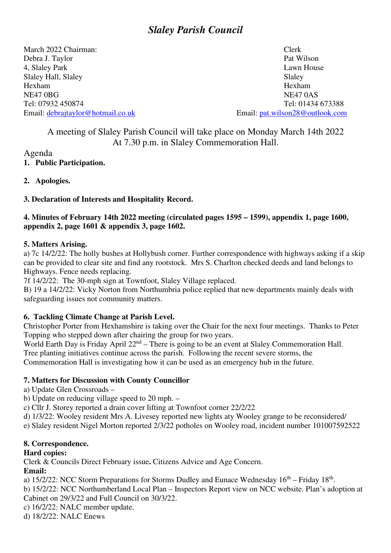# *Slaley Parish Council*

March 2022 Chairman: Clerk Debra J. Taylor Pat Wilson 4, Slaley Park Lawn House Slaley Hall, Slaley Slaley Hexham Hexham NE47 OBG NE47 OAS Tel: 07932 450874<br>
Tel: 01434 673388<br>
Email: <u>debrajtaylor@hotmail.co.uk</u><br>
Email: <u>pat.wilson28@outlook.com</u> Email: debrajtaylor@hotmail.co.uk

## A meeting of Slaley Parish Council will take place on Monday March 14th 2022 At 7.30 p.m. in Slaley Commemoration Hall.

## Agenda

## **1. Public Participation.**

**2. Apologies.** 

## **3. Declaration of Interests and Hospitality Record.**

## **4. Minutes of February 14th 2022 meeting (circulated pages 1595 – 1599), appendix 1, page 1600, appendix 2, page 1601 & appendix 3, page 1602.**

#### **5. Matters Arising.**

a) 7c 14/2/22: The holly bushes at Hollybush corner. Further correspondence with highways asking if a skip can be provided to clear site and find any rootstock. Mrs S. Charlton checked deeds and land belongs to Highways. Fence needs replacing.

7f 14/2/22:The 30-mph sign at Townfoot, Slaley Village replaced.

B) 19 a 14/2/22: Vicky Norton from Northumbria police replied that new departments mainly deals with safeguarding issues not community matters.

## **6. Tackling Climate Change at Parish Level.**

Christopher Porter from Hexhamshire is taking over the Chair for the next four meetings. Thanks to Peter Topping who stepped down after chairing the group for two years.

World Earth Day is Friday April  $22^{nd}$  – There is going to be an event at Slaley Commemoration Hall. Tree planting initiatives continue across the parish. Following the recent severe storms, the Commemoration Hall is investigating how it can be used as an emergency hub in the future.

## **7. Matters for Discussion with County Councillor**

- a) Update Glen Crossroads –
- b) Update on reducing village speed to 20 mph. –
- c) Cllr J. Storey reported a drain cover lifting at Townfoot corner 22/2/22
- d) 1/3/22: Wooley resident Mrs A. Livesey reported new lights aty Wooley grange to be reconsidered/

e) Slaley resident Nigel Morton reported 2/3/22 potholes on Wooley road, incident number 101007592522

## **8. Correspondence.**

## **Hard copies:**

Clerk & Councils Direct February issue**.** Citizens Advice and Age Concern.

## **Email:**

a)  $15/2/22$ : NCC Storm Preparations for Storms Dudley and Eunace Wednesday  $16<sup>th</sup>$  – Friday  $18<sup>th</sup>$ .

b) 15/2/22: NCC Northumberland Local Plan – Inspectors Report view on NCC website. Plan's adoption at Cabinet on 29/3/22 and Full Council on 30/3/22.

- c) 16/2/22: NALC member update.
- d) 18/2/22: NALC Enews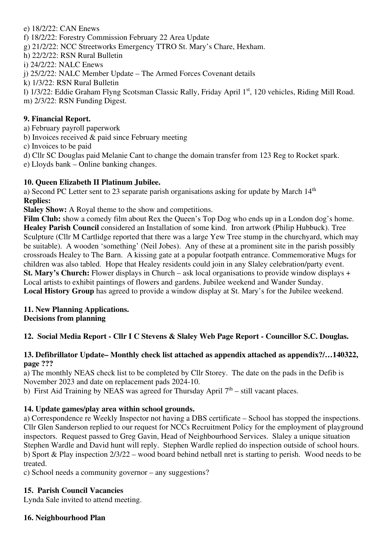#### e) 18/2/22: CAN Enews

- f) 18/2/22: Forestry Commission February 22 Area Update
- g) 21/2/22: NCC Streetworks Emergency TTRO St. Mary's Chare, Hexham.
- h) 22/2/22: RSN Rural Bulletin
- i) 24/2/22: NALC Enews

j) 25/2/22: NALC Member Update – The Armed Forces Covenant details

k) 1/3/22: RSN Rural Bulletin

l) 1/3/22: Eddie Graham Flyng Scotsman Classic Rally, Friday April 1st, 120 vehicles, Riding Mill Road. m) 2/3/22: RSN Funding Digest.

#### **9. Financial Report.**

- a) February payroll paperwork
- b) Invoices received & paid since February meeting
- c) Invoices to be paid
- d) Cllr SC Douglas paid Melanie Cant to change the domain transfer from 123 Reg to Rocket spark.
- e) Lloyds bank Online banking changes.

#### **10. Queen Elizabeth II Platinum Jubilee.**

a) Second PC Letter sent to 23 separate parish organisations asking for update by March  $14<sup>th</sup>$ **Replies:** 

**Slaley Show:** A Royal theme to the show and competitions.

Film Club: show a comedy film about Rex the Queen's Top Dog who ends up in a London dog's home. **Healey Parish Council** considered an Installation of some kind. Iron artwork (Philip Hubbuck). Tree Sculpture (Cllr M Cartlidge reported that there was a large Yew Tree stump in the churchyard, which may be suitable). A wooden 'something' (Neil Jobes). Any of these at a prominent site in the parish possibly crossroads Healey to The Barn. A kissing gate at a popular footpath entrance. Commemorative Mugs for children was also tabled. Hope that Healey residents could join in any Slaley celebration/party event. **St. Mary's Church:** Flower displays in Church – ask local organisations to provide window displays + Local artists to exhibit paintings of flowers and gardens. Jubilee weekend and Wander Sunday. **Local History Group** has agreed to provide a window display at St. Mary's for the Jubilee weekend.

#### **11. New Planning Applications. Decisions from planning**

## **12. Social Media Report - Cllr I C Stevens & Slaley Web Page Report - Councillor S.C. Douglas.**

#### **13. Defibrillator Update– Monthly check list attached as appendix attached as appendix?/…140322, page ???**

a) The monthly NEAS check list to be completed by Cllr Storey. The date on the pads in the Defib is November 2023 and date on replacement pads 2024-10.

b) First Aid Training by NEAS was agreed for Thursday April  $7<sup>th</sup>$  – still vacant places.

#### **14. Update games/play area within school grounds.**

a) Correspondence re Weekly Inspector not having a DBS certificate – School has stopped the inspections. Cllr Glen Sanderson replied to our request for NCCs Recruitment Policy for the employment of playground inspectors. Request passed to Greg Gavin, Head of Neighbourhood Services. Slaley a unique situation Stephen Wardle and David hunt will reply. Stephen Wardle replied do inspection outside of school hours. b) Sport & Play inspection 2/3/22 – wood board behind netball nret is starting to perish. Wood needs to be treated.

c) School needs a community governor – any suggestions?

#### **15. Parish Council Vacancies**

Lynda Sale invited to attend meeting.

#### **16. Neighbourhood Plan**